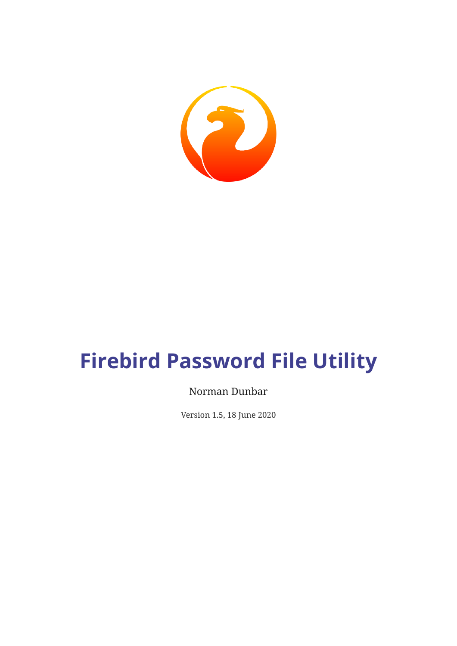

# **Firebird Password File Utility**

#### Norman Dunbar

Version 1.5, 18 June 2020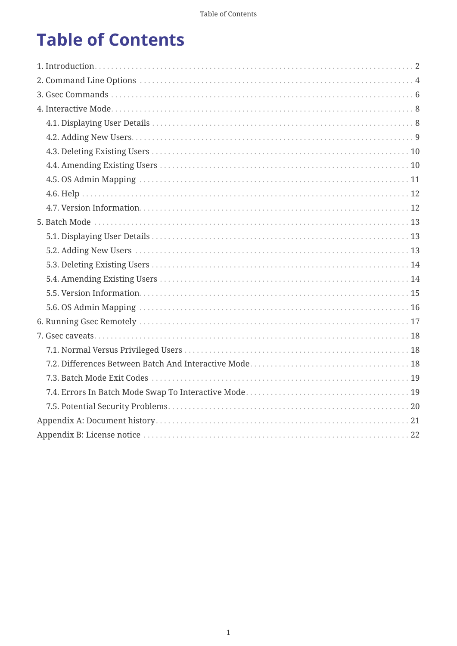## **Table of Contents**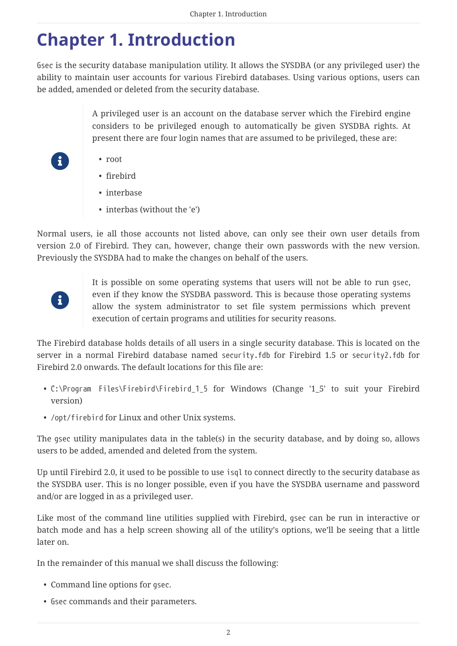## <span id="page-2-0"></span>**Chapter 1. Introduction**

Gsec is the security database manipulation utility. It allows the SYSDBA (or any privileged user) the ability to maintain user accounts for various Firebird databases. Using various options, users can be added, amended or deleted from the security database.

> A privileged user is an account on the database server which the Firebird engine considers to be privileged enough to automatically be given SYSDBA rights. At present there are four login names that are assumed to be privileged, these are:

- root
- firebird
- interbase
- interbas (without the 'e')

Normal users, ie all those accounts not listed above, can only see their own user details from version 2.0 of Firebird. They can, however, change their own passwords with the new version. Previously the SYSDBA had to make the changes on behalf of the users.



 $\mathbf{i}$ 

It is possible on some operating systems that users will not be able to run gsec, even if they know the SYSDBA password. This is because those operating systems allow the system administrator to set file system permissions which prevent execution of certain programs and utilities for security reasons.

The Firebird database holds details of all users in a single security database. This is located on the server in a normal Firebird database named security.fdb for Firebird 1.5 or security2.fdb for Firebird 2.0 onwards. The default locations for this file are:

- C:\Program Files\Firebird\Firebird\_1\_5 for Windows (Change '1\_5' to suit your Firebird version)
- /opt/firebird for Linux and other Unix systems.

The gsec utility manipulates data in the table(s) in the security database, and by doing so, allows users to be added, amended and deleted from the system.

Up until Firebird 2.0, it used to be possible to use isql to connect directly to the security database as the SYSDBA user. This is no longer possible, even if you have the SYSDBA username and password and/or are logged in as a privileged user.

Like most of the command line utilities supplied with Firebird, gsec can be run in interactive or batch mode and has a help screen showing all of the utility's options, we'll be seeing that a little later on.

In the remainder of this manual we shall discuss the following:

- Command line options for gsec.
- Gsec commands and their parameters.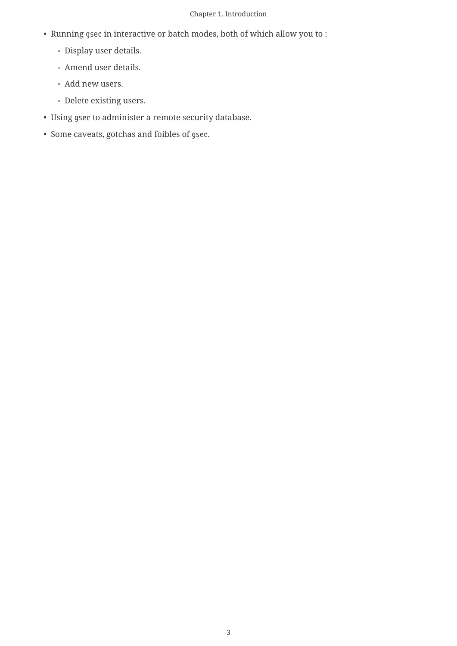- Running gsec in interactive or batch modes, both of which allow you to :
	- Display user details.
	- Amend user details.
	- Add new users.
	- Delete existing users.
- Using gsec to administer a remote security database.
- Some caveats, gotchas and foibles of gsec.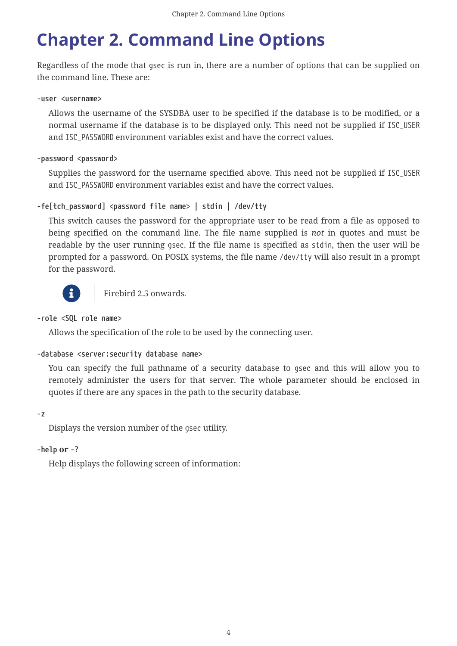## <span id="page-4-0"></span>**Chapter 2. Command Line Options**

Regardless of the mode that gsec is run in, there are a number of options that can be supplied on the command line. These are:

#### **-user <username>**

Allows the username of the SYSDBA user to be specified if the database is to be modified, or a normal username if the database is to be displayed only. This need not be supplied if ISC\_USER and ISC\_PASSWORD environment variables exist and have the correct values.

#### **-password <password>**

Supplies the password for the username specified above. This need not be supplied if ISC\_USER and ISC\_PASSWORD environment variables exist and have the correct values.

#### **-fe[tch\_password] <password file name> | stdin | /dev/tty**

This switch causes the password for the appropriate user to be read from a file as opposed to being specified on the command line. The file name supplied is *not* in quotes and must be readable by the user running gsec. If the file name is specified as stdin, then the user will be prompted for a password. On POSIX systems, the file name /dev/tty will also result in a prompt for the password.



Firebird 2.5 onwards.

#### **-role <SQL role name>**

Allows the specification of the role to be used by the connecting user.

#### **-database <server:security database name>**

You can specify the full pathname of a security database to gsec and this will allow you to remotely administer the users for that server. The whole parameter should be enclosed in quotes if there are any spaces in the path to the security database.

**-z**

Displays the version number of the gsec utility.

#### **-help or -?**

Help displays the following screen of information: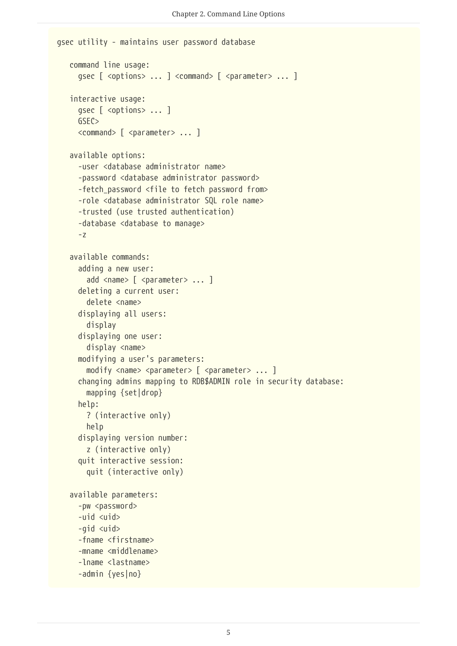```
gsec utility - maintains user password database
     command line usage:
     qsec [ <options> ... ] <command> [ <parameter> ... ]
     interactive usage:
       gsec [ <options> ... ]
       GSEC>
     <command> [ <parameter> ... ]
     available options:
       -user <database administrator name>
       -password <database administrator password>
       -fetch_password <file to fetch password from>
       -role <database administrator SQL role name>
       -trusted (use trusted authentication)
       -database <database to manage>
       -z
     available commands:
       adding a new user:
       add <name> [ <parameter> ... ]
       deleting a current user:
         delete <name>
       displaying all users:
         display
       displaying one user:
         display <name>
       modifying a user's parameters:
       modify <name> <parameter> [ <parameter> ... ]
       changing admins mapping to RDB$ADMIN role in security database:
         mapping {set|drop}
       help:
         ? (interactive only)
         help
       displaying version number:
         z (interactive only)
       quit interactive session:
         quit (interactive only)
     available parameters:
       -pw <password>
       -uid <uid>
       -gid <uid>
       -fname <firstname>
       -mname <middlename>
       -lname <lastname>
       -admin {yes|no}
```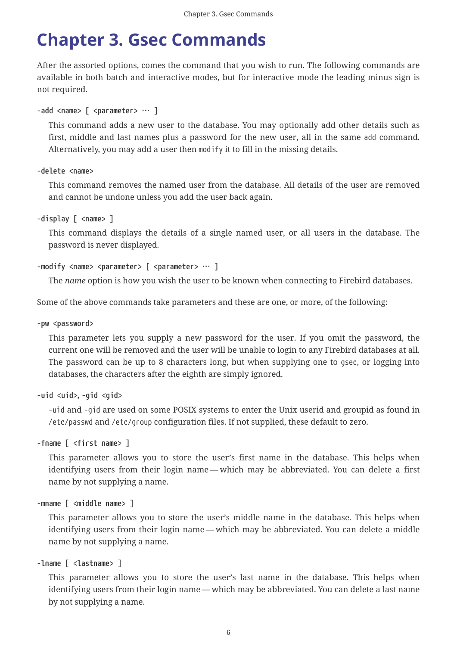## <span id="page-6-0"></span>**Chapter 3. Gsec Commands**

After the assorted options, comes the command that you wish to run. The following commands are available in both batch and interactive modes, but for interactive mode the leading minus sign is not required.

```
-add <name> [ <parameter> … ]
```
This command adds a new user to the database. You may optionally add other details such as first, middle and last names plus a password for the new user, all in the same add command. Alternatively, you may add a user then modify it to fill in the missing details.

**-delete <name>**

This command removes the named user from the database. All details of the user are removed and cannot be undone unless you add the user back again.

```
-display [ <name> ]
```
This command displays the details of a single named user, or all users in the database. The password is never displayed.

```
-modify <name> <parameter> [ <parameter> … ]
```
The *name* option is how you wish the user to be known when connecting to Firebird databases.

Some of the above commands take parameters and these are one, or more, of the following:

#### **-pw <password>**

This parameter lets you supply a new password for the user. If you omit the password, the current one will be removed and the user will be unable to login to any Firebird databases at all. The password can be up to 8 characters long, but when supplying one to gsec, or logging into databases, the characters after the eighth are simply ignored.

**-uid <uid>, -gid <gid>**

-uid and -gid are used on some POSIX systems to enter the Unix userid and groupid as found in /etc/passwd and /etc/group configuration files. If not supplied, these default to zero.

**-fname [ <first name> ]**

This parameter allows you to store the user's first name in the database. This helps when identifying users from their login name — which may be abbreviated. You can delete a first name by not supplying a name.

```
-mname [ <middle name> ]
```
This parameter allows you to store the user's middle name in the database. This helps when identifying users from their login name — which may be abbreviated. You can delete a middle name by not supplying a name.

```
-lname [ <lastname> ]
```
This parameter allows you to store the user's last name in the database. This helps when identifying users from their login name — which may be abbreviated. You can delete a last name by not supplying a name.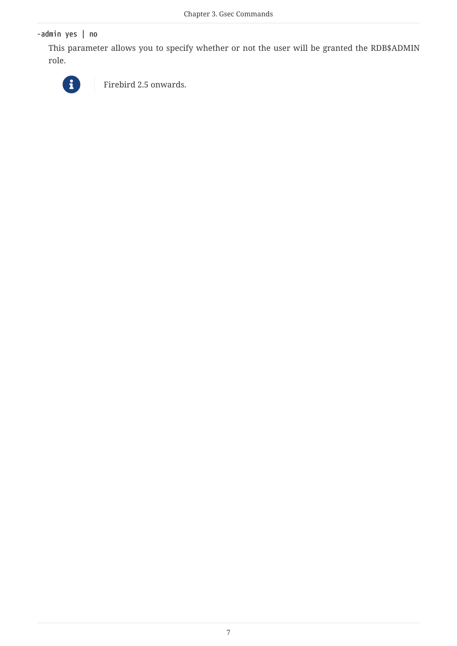**-admin yes | no**

This parameter allows you to specify whether or not the user will be granted the RDB\$ADMIN role.



Firebird 2.5 onwards.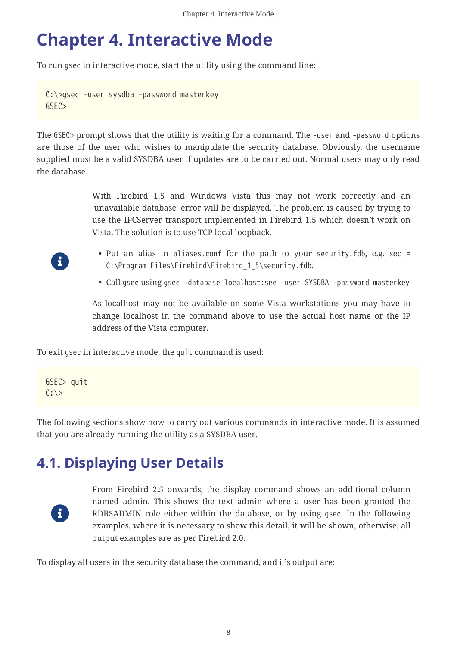## <span id="page-8-0"></span>**Chapter 4. Interactive Mode**

To run gsec in interactive mode, start the utility using the command line:

```
C:\>gsec -user sysdba -password masterkey
GSEC>
```
The GSEC> prompt shows that the utility is waiting for a command. The -user and -password options are those of the user who wishes to manipulate the security database. Obviously, the username supplied must be a valid SYSDBA user if updates are to be carried out. Normal users may only read the database.

> With Firebird 1.5 and Windows Vista this may not work correctly and an 'unavailable database' error will be displayed. The problem is caused by trying to use the IPCServer transport implemented in Firebird 1.5 which doesn't work on Vista. The solution is to use TCP local loopback.

- Put an alias in aliases.conf for the path to your security.fdb, e.g. sec = C:\Program Files\Firebird\Firebird\_1\_5\security.fdb.
- Call gsec using gsec -database localhost:sec -user SYSDBA -password masterkey

As localhost may not be available on some Vista workstations you may have to change localhost in the command above to use the actual host name or the IP address of the Vista computer.

To exit gsec in interactive mode, the quit command is used:

```
GSEC> quit
C: \>
```
The following sections show how to carry out various commands in interactive mode. It is assumed that you are already running the utility as a SYSDBA user.

### <span id="page-8-1"></span>**4.1. Displaying User Details**



From Firebird 2.5 onwards, the display command shows an additional column named admin. This shows the text admin where a user has been granted the RDB\$ADMIN role either within the database, or by using gsec. In the following examples, where it is necessary to show this detail, it will be shown, otherwise, all output examples are as per Firebird 2.0.

To display all users in the security database the command, and it's output are:



 $\mathbf{i}$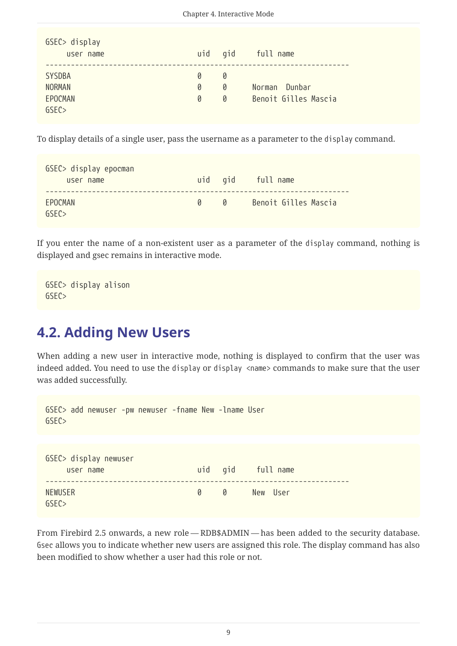| GSEC> display<br>user name |   |   | uid gid full name    |
|----------------------------|---|---|----------------------|
|                            |   |   |                      |
| <b>SYSDBA</b>              | Ø | Ø |                      |
| <b>NORMAN</b>              | Ø | 0 | Norman Dunbar        |
| EPOCMAN                    | Ø | Ø | Benoit Gilles Mascia |
| GSFC                       |   |   |                      |

To display details of a single user, pass the username as a parameter to the display command.

| GSEC> display epocman<br>user name |   |   | uid gid full name    |
|------------------------------------|---|---|----------------------|
| <b>FPOCMAN</b><br>GSFC             | 0 | 0 | Benoit Gilles Mascia |

If you enter the name of a non-existent user as a parameter of the display command, nothing is displayed and gsec remains in interactive mode.

```
GSEC> display alison
GSEC>
```
#### <span id="page-9-0"></span>**4.2. Adding New Users**

When adding a new user in interactive mode, nothing is displayed to confirm that the user was indeed added. You need to use the display or display <name> commands to make sure that the user was added successfully.

| GSEC> add newuser -pw newuser -fname New -lname User<br>GSEC |     |               |
|--------------------------------------------------------------|-----|---------------|
|                                                              |     |               |
| GSEC> display newuser<br>user name                           | uid | gid full name |
| <b>NEWUSER</b><br>GSEC                                       | 0   | 0<br>New User |

From Firebird 2.5 onwards, a new role — RDB\$ADMIN — has been added to the security database. Gsec allows you to indicate whether new users are assigned this role. The display command has also been modified to show whether a user had this role or not.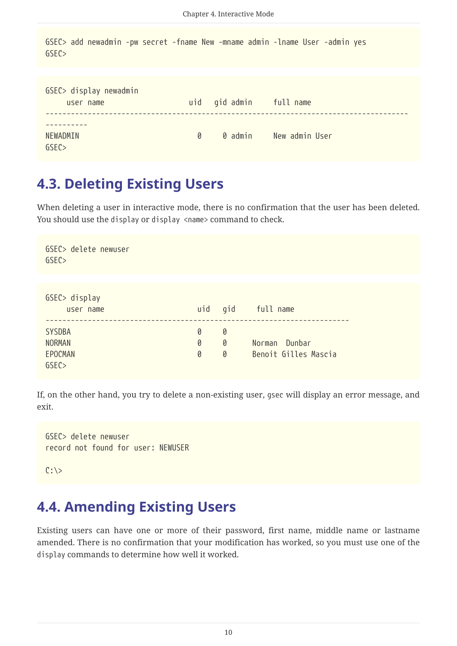```
GSEC> add newadmin -pw secret -fname New -mname admin -lname User -admin yes
GSEC>
```

| GSEC> display newadmin<br>user name |   | uid gid admin full name |                |
|-------------------------------------|---|-------------------------|----------------|
| NEWADMIN<br>GSEC                    | 0 | 0 admin                 | New admin User |

#### <span id="page-10-0"></span>**4.3. Deleting Existing Users**

When deleting a user in interactive mode, there is no confirmation that the user has been deleted. You should use the display or display <name> command to check.

| GSEC> delete newuser<br>GSEC |     |   |                      |
|------------------------------|-----|---|----------------------|
|                              |     |   |                      |
| GSEC> display                |     |   |                      |
|                              |     |   |                      |
| user name                    | uid |   | gid full name        |
|                              |     |   |                      |
| <b>SYSDBA</b>                | 0   | 0 |                      |
| <b>NORMAN</b>                | 0   | 0 | Norman Dunbar        |
| EPOCMAN                      | 0   | 0 | Benoit Gilles Mascia |
| GSEC                         |     |   |                      |

If, on the other hand, you try to delete a non-existing user, gsec will display an error message, and exit.

```
GSEC> delete newuser
record not found for user: NEWUSER
```
 $C: \>$ 

#### <span id="page-10-1"></span>**4.4. Amending Existing Users**

Existing users can have one or more of their password, first name, middle name or lastname amended. There is no confirmation that your modification has worked, so you must use one of the display commands to determine how well it worked.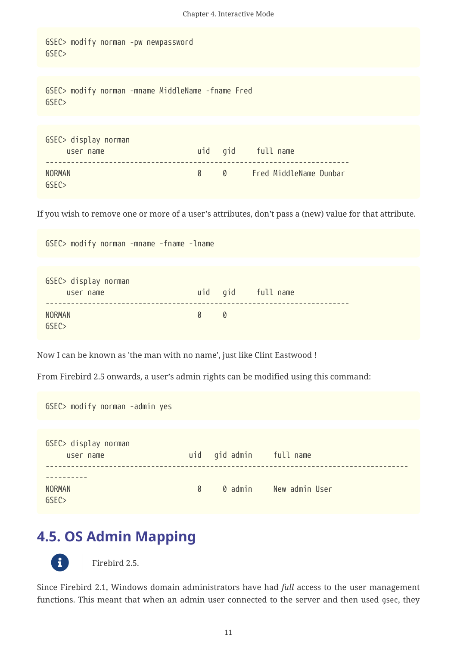GSEC> modify norman -pw newpassword GSEC>

GSEC> modify norman -mname MiddleName -fname Fred GSEC>

| GSEC> display norman<br>user name |   | uid gid full name      |
|-----------------------------------|---|------------------------|
| NORMAN<br>GSFC                    | 0 | Fred MiddleName Dunbar |

If you wish to remove one or more of a user's attributes, don't pass a (new) value for that attribute.

GSEC> modify norman -mname -fname -lname

| GSEC> display norman |                   |                   |
|----------------------|-------------------|-------------------|
| user name            |                   | uid gid full name |
|                      |                   |                   |
| <b>NORMAN</b>        | $\Omega$ $\Omega$ |                   |
| GSEC                 |                   |                   |

Now I can be known as 'the man with no name', just like Clint Eastwood !

From Firebird 2.5 onwards, a user's admin rights can be modified using this command:

GSEC> modify norman -admin yes

| GSEC> display norman<br>user name |   | uid gid admin full name |                |
|-----------------------------------|---|-------------------------|----------------|
| <b>NORMAN</b><br>GSEC             | 0 | 0 admin                 | New admin User |

#### <span id="page-11-0"></span>**4.5. OS Admin Mapping**



Firebird 2.5.

Since Firebird 2.1, Windows domain administrators have had *full* access to the user management functions. This meant that when an admin user connected to the server and then used gsec, they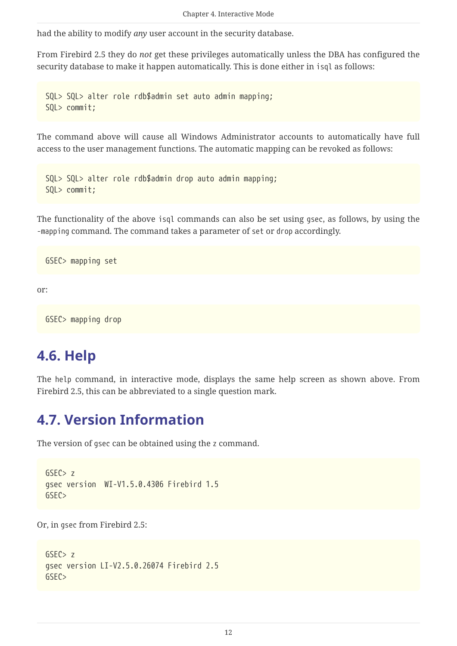had the ability to modify *any* user account in the security database.

From Firebird 2.5 they do *not* get these privileges automatically unless the DBA has configured the security database to make it happen automatically. This is done either in isql as follows:

```
SQL> SQL> alter role rdb$admin set auto admin mapping;
SQL> commit;
```
The command above will cause all Windows Administrator accounts to automatically have full access to the user management functions. The automatic mapping can be revoked as follows:

```
SQL> SQL> alter role rdb$admin drop auto admin mapping;
SQL> commit;
```
The functionality of the above isql commands can also be set using gsec, as follows, by using the -mapping command. The command takes a parameter of set or drop accordingly.

GSEC> mapping set

or:

GSEC> mapping drop

#### <span id="page-12-0"></span>**4.6. Help**

The help command, in interactive mode, displays the same help screen as shown above. From Firebird 2.5, this can be abbreviated to a single question mark.

#### <span id="page-12-1"></span>**4.7. Version Information**

The version of gsec can be obtained using the z command.

```
GSFC > zgsec version WI-V1.5.0.4306 Firebird 1.5
GSEC>
```
Or, in gsec from Firebird 2.5:

```
GSEC> z
gsec version LI-V2.5.0.26074 Firebird 2.5
GSEC>
```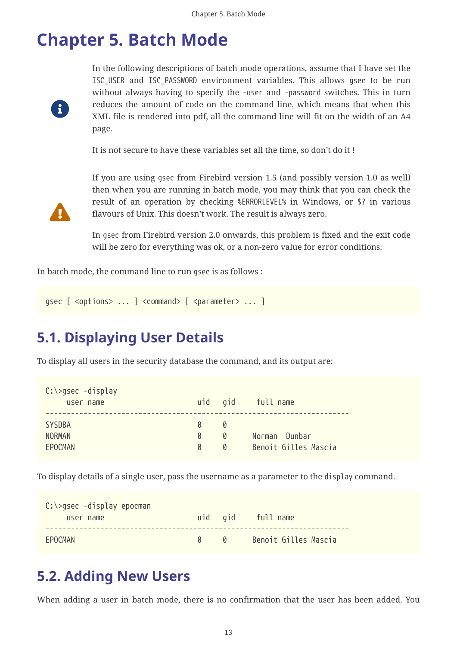### <span id="page-13-0"></span>**Chapter 5. Batch Mode**

8

In the following descriptions of batch mode operations, assume that I have set the ISC\_USER and ISC\_PASSWORD environment variables. This allows gsec to be run without always having to specify the -user and -password switches. This in turn reduces the amount of code on the command line, which means that when this XML file is rendered into pdf, all the command line will fit on the width of an A4 page.

It is not secure to have these variables set all the time, so don't do it !



If you are using gsec from Firebird version 1.5 (and possibly version 1.0 as well) then when you are running in batch mode, you may think that you can check the result of an operation by checking %ERRORLEVEL% in Windows, or \$? in various flavours of Unix. This doesn't work. The result is always zero.

In gsec from Firebird version 2.0 onwards, this problem is fixed and the exit code will be zero for everything was ok, or a non-zero value for error conditions.

In batch mode, the command line to run gsec is as follows :

```
qsec [ <options> ... ] <command> [ <parameter> ... ]
```
### <span id="page-13-1"></span>**5.1. Displaying User Details**

To display all users in the security database the command, and its output are:

| $C:\zeta>g$ sec -display<br>user name     |             | uid gid     | full name                             |
|-------------------------------------------|-------------|-------------|---------------------------------------|
| <b>SYSDBA</b><br><b>NORMAN</b><br>EPOCMAN | Ø<br>Ø<br>Ø | N<br>Ø<br>Ø | Norman Dunbar<br>Benoit Gilles Mascia |

To display details of a single user, pass the username as a parameter to the display command.

| $C:\>g$ sec -display epocman<br>user name |            | uid gid full name    |
|-------------------------------------------|------------|----------------------|
| FPOCMAN                                   | $\sqrt{a}$ | Benoit Gilles Mascia |

#### <span id="page-13-2"></span>**5.2. Adding New Users**

When adding a user in batch mode, there is no confirmation that the user has been added. You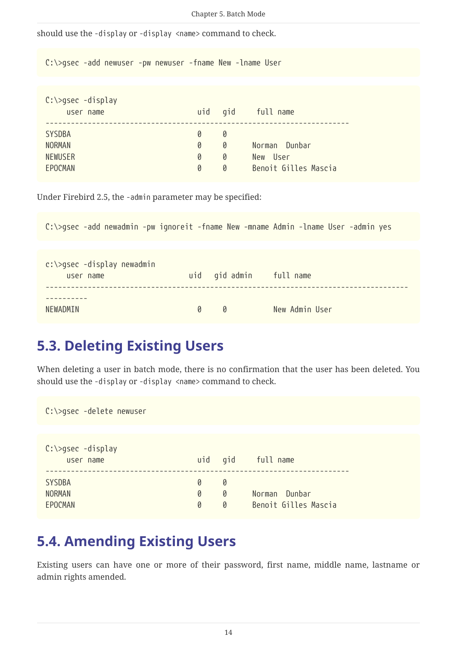```
Chapter 5. Batch Mode
```
should use the -display or -display <name> command to check.

C:\>gsec -add newuser -pw newuser -fname New -lname User

| $C:\>g$ sec -display<br>user name | uid gid |   | full name            |
|-----------------------------------|---------|---|----------------------|
| <b>SYSDBA</b>                     | 0       | 0 | Norman Dunbar        |
| <b>NORMAN</b>                     | 0       | 0 | - Ilser              |
| <b>NEWUSER</b>                    | 0       | 0 | New                  |
| EPOCMAN                           | 0       | 0 | Benoit Gilles Mascia |

Under Firebird 2.5, the -admin parameter may be specified:

C:\>gsec -add newadmin -pw ignoreit -fname New -mname Admin -lname User -admin yes c:\>gsec -display newadmin user name uid gid admin full name -------------------------------------------------------------------------------------- ---------- NEWADMIN 0 0 New Admin User

#### <span id="page-14-0"></span>**5.3. Deleting Existing Users**

When deleting a user in batch mode, there is no confirmation that the user has been deleted. You should use the -display or -display <name> command to check.

| C:\>gsec -delete newuser                  |             |             |                                       |
|-------------------------------------------|-------------|-------------|---------------------------------------|
| $C:\simeq$ gsec -display<br>user name     | uid         | gid         | full name                             |
| <b>SYSDBA</b><br><b>NORMAN</b><br>EPOCMAN | 0<br>0<br>0 | 0<br>0<br>0 | Norman Dunbar<br>Benoit Gilles Mascia |

#### <span id="page-14-1"></span>**5.4. Amending Existing Users**

Existing users can have one or more of their password, first name, middle name, lastname or admin rights amended.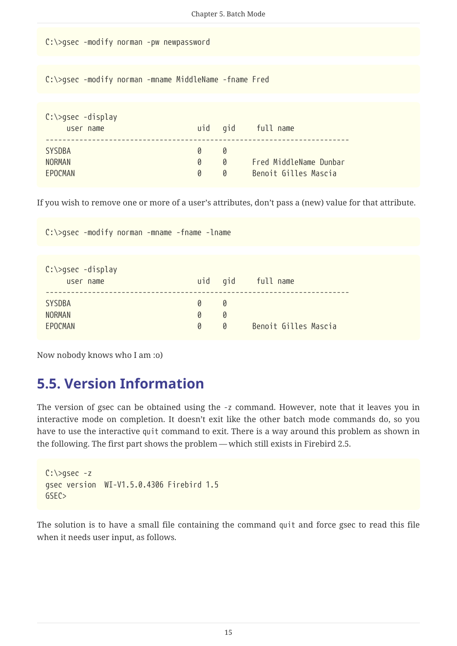```
C:\>gsec -modify norman -pw newpassword
 C:\>gsec -modify norman -mname MiddleName -fname Fred
 C:\>gsec -display
       user name uid gid full name
  ------------------------------------------------------------------------
 SYSDBA 0 0 0
 NORMAN 0 0 Fred MiddleName Dunbar
 EPOCMAN 0 0 Benoit Gilles Mascia
If you wish to remove one or more of a user's attributes, don't pass a (new) value for that attribute.
 C:\>gsec -modify norman -mname -fname -lname
 C:\>gsec -display
                                Chapter 5. Batch Mode
```
user name uid gid full name

EPOCMAN 0 0 Benoit Gilles Mascia

#### <span id="page-15-0"></span>**5.5. Version Information**

Now nobody knows who I am :o)

SYSDBA 0 0 NORMAN 0 0 0

------------------------------------------------------------------------

The version of gsec can be obtained using the -z command. However, note that it leaves you in interactive mode on completion. It doesn't exit like the other batch mode commands do, so you have to use the interactive quit command to exit. There is a way around this problem as shown in the following. The first part shows the problem — which still exists in Firebird 2.5.

```
C:\>gsec -z
gsec version WI-V1.5.0.4306 Firebird 1.5
GSEC>
```
The solution is to have a small file containing the command quit and force gsec to read this file when it needs user input, as follows.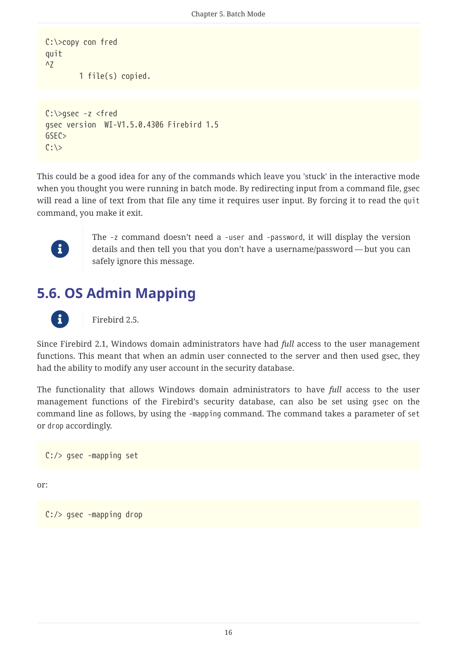```
C:\>copy con fred
quit
\overline{2}  1 file(s) copied.
```

```
C:\>gsec -z <fred
gsec version WI-V1.5.0.4306 Firebird 1.5
GSFCC: \>
```
This could be a good idea for any of the commands which leave you 'stuck' in the interactive mode when you thought you were running in batch mode. By redirecting input from a command file, gsec will read a line of text from that file any time it requires user input. By forcing it to read the quit command, you make it exit.



The -z command doesn't need a -user and -password, it will display the version details and then tell you that you don't have a username/password — but you can safely ignore this message.

### <span id="page-16-0"></span>**5.6. OS Admin Mapping**



f Firebird 2.5.

Since Firebird 2.1, Windows domain administrators have had *full* access to the user management functions. This meant that when an admin user connected to the server and then used gsec, they had the ability to modify any user account in the security database.

The functionality that allows Windows domain administrators to have *full* access to the user management functions of the Firebird's security database, can also be set using gsec on the command line as follows, by using the -mapping command. The command takes a parameter of set or drop accordingly.

C:/> gsec -mapping set

or:

C:/> gsec -mapping drop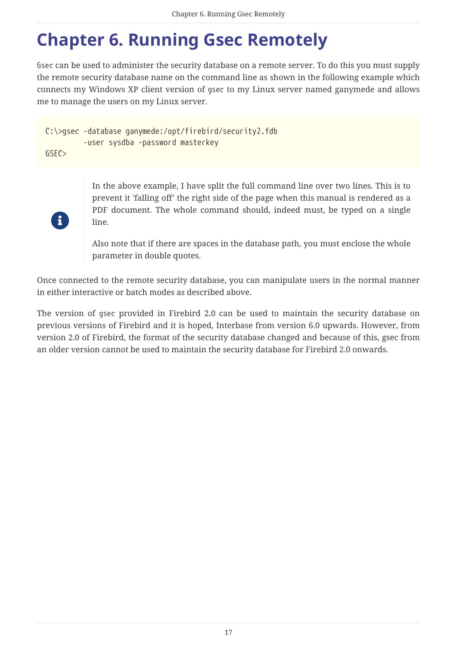## <span id="page-17-0"></span>**Chapter 6. Running Gsec Remotely**

Gsec can be used to administer the security database on a remote server. To do this you must supply the remote security database name on the command line as shown in the following example which connects my Windows XP client version of gsec to my Linux server named ganymede and allows me to manage the users on my Linux server.

```
C:\>gsec -database ganymede:/opt/firebird/security2.fdb
           -user sysdba -password masterkey
GSEC>
```


In the above example, I have split the full command line over two lines. This is to prevent it 'falling off' the right side of the page when this manual is rendered as a PDF document. The whole command should, indeed must, be typed on a single line.

Also note that if there are spaces in the database path, you must enclose the whole parameter in double quotes.

Once connected to the remote security database, you can manipulate users in the normal manner in either interactive or batch modes as described above.

The version of gsec provided in Firebird 2.0 can be used to maintain the security database on previous versions of Firebird and it is hoped, Interbase from version 6.0 upwards. However, from version 2.0 of Firebird, the format of the security database changed and because of this, gsec from an older version cannot be used to maintain the security database for Firebird 2.0 onwards.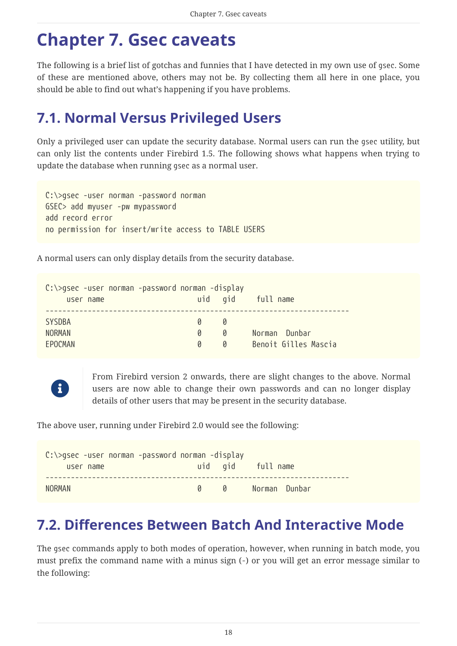## <span id="page-18-0"></span>**Chapter 7. Gsec caveats**

The following is a brief list of gotchas and funnies that I have detected in my own use of gsec. Some of these are mentioned above, others may not be. By collecting them all here in one place, you should be able to find out what's happening if you have problems.

### <span id="page-18-1"></span>**7.1. Normal Versus Privileged Users**

Only a privileged user can update the security database. Normal users can run the gsec utility, but can only list the contents under Firebird 1.5. The following shows what happens when trying to update the database when running gsec as a normal user.

```
C:\>gsec -user norman -password norman
GSEC> add myuser -pw mypassword
add record error
no permission for insert/write access to TABLE USERS
```
A normal users can only display details from the security database.

| C:\>gsec -user norman -password norman -display |   |   |                      |
|-------------------------------------------------|---|---|----------------------|
| user name                                       |   |   | uid gid full name    |
|                                                 |   |   |                      |
| <b>SYSDBA</b>                                   | n | N |                      |
| <b>NORMAN</b>                                   | Ø | g | Norman Dunbar        |
| EPOCMAN                                         | g | g | Benoit Gilles Mascia |



From Firebird version 2 onwards, there are slight changes to the above. Normal users are now able to change their own passwords and can no longer display details of other users that may be present in the security database.

The above user, running under Firebird 2.0 would see the following:

| $C:\zeta>g$ sec -user norman -password norman -display |  |                   |
|--------------------------------------------------------|--|-------------------|
| user name                                              |  | uid gid full name |
|                                                        |  |                   |
| NORMAN                                                 |  |                   |

### <span id="page-18-2"></span>**7.2. Differences Between Batch And Interactive Mode**

The gsec commands apply to both modes of operation, however, when running in batch mode, you must prefix the command name with a minus sign (-) or you will get an error message similar to the following: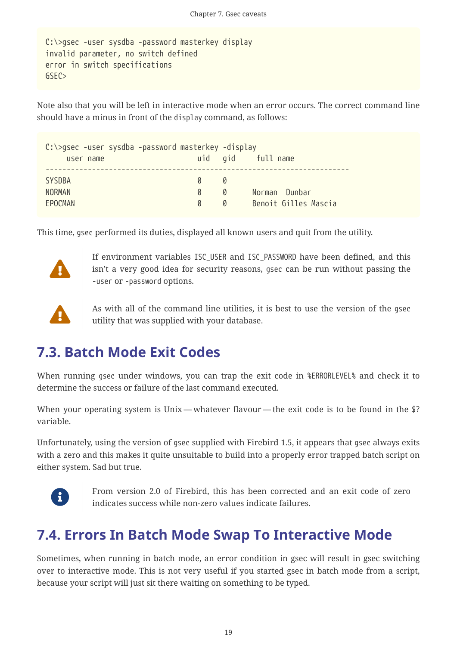```
C:\>gsec -user sysdba -password masterkey display
invalid parameter, no switch defined
error in switch specifications
GSEC>
```
Note also that you will be left in interactive mode when an error occurs. The correct command line should have a minus in front of the display command, as follows:

| $C:\$ gsec -user sysdba -password masterkey -display |               |               |                      |
|------------------------------------------------------|---------------|---------------|----------------------|
| user name                                            |               |               | uid gid full name    |
|                                                      |               |               |                      |
| <b>SYSDBA</b>                                        | $\mathcal{Q}$ | <sub>N</sub>  |                      |
| <b>NORMAN</b>                                        | Ø             | 0             | Norman Dunbar        |
| FPOCMAN                                              | n             | $\mathcal{Q}$ | Benoit Gilles Mascia |

This time, gsec performed its duties, displayed all known users and quit from the utility.



If environment variables ISC\_USER and ISC\_PASSWORD have been defined, and this isn't a very good idea for security reasons, gsec can be run without passing the -user or -password options.



 As with all of the command line utilities, it is best to use the version of the gsec utility that was supplied with your database.

### <span id="page-19-0"></span>**7.3. Batch Mode Exit Codes**

When running gsec under windows, you can trap the exit code in %ERRORLEVEL% and check it to determine the success or failure of the last command executed.

When your operating system is Unix — whatever flavour — the exit code is to be found in the \$? variable.

Unfortunately, using the version of gsec supplied with Firebird 1.5, it appears that gsec always exits with a zero and this makes it quite unsuitable to build into a properly error trapped batch script on either system. Sad but true.



From version 2.0 of Firebird, this has been corrected and an exit code of zero indicates success while non-zero values indicate failures.

### <span id="page-19-1"></span>**7.4. Errors In Batch Mode Swap To Interactive Mode**

Sometimes, when running in batch mode, an error condition in gsec will result in gsec switching over to interactive mode. This is not very useful if you started gsec in batch mode from a script, because your script will just sit there waiting on something to be typed.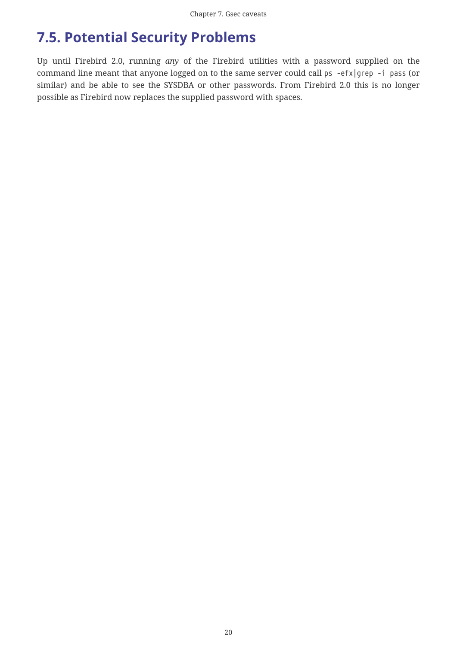### <span id="page-20-0"></span>**7.5. Potential Security Problems**

Up until Firebird 2.0, running *any* of the Firebird utilities with a password supplied on the command line meant that anyone logged on to the same server could call ps -efx|grep -i pass (or similar) and be able to see the SYSDBA or other passwords. From Firebird 2.0 this is no longer possible as Firebird now replaces the supplied password with spaces.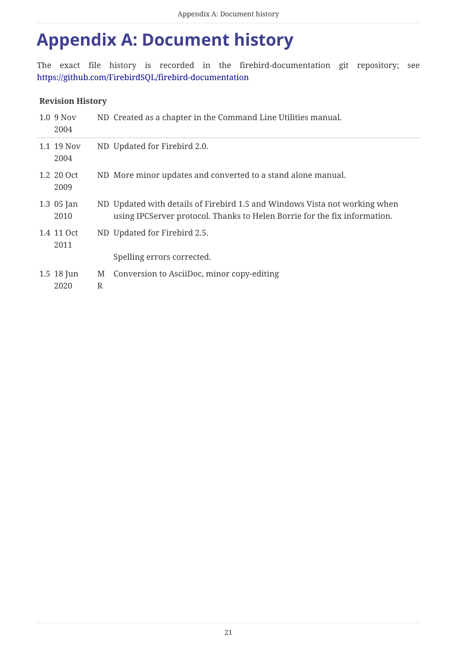## <span id="page-21-0"></span>**Appendix A: Document history**

The exact file history is recorded in the firebird-documentation git repository; see <https://github.com/FirebirdSQL/firebird-documentation>

#### **Revision History**

| 1.0 9 Nov<br>2004    |        | ND Created as a chapter in the Command Line Utilities manual.                                                                                           |
|----------------------|--------|---------------------------------------------------------------------------------------------------------------------------------------------------------|
| 1.1 19 Nov<br>2004   |        | ND Updated for Firebird 2.0.                                                                                                                            |
| 1.2 20 Oct<br>2009   |        | ND More minor updates and converted to a stand alone manual.                                                                                            |
| $1.3$ 05 Jan<br>2010 |        | ND Updated with details of Firebird 1.5 and Windows Vista not working when<br>using IPCServer protocol. Thanks to Helen Borrie for the fix information. |
| 1.4 11 Oct<br>2011   |        | ND Updated for Firebird 2.5.                                                                                                                            |
|                      |        | Spelling errors corrected.                                                                                                                              |
| 1.5 18 Jun<br>2020   | M<br>R | Conversion to AsciiDoc, minor copy-editing                                                                                                              |